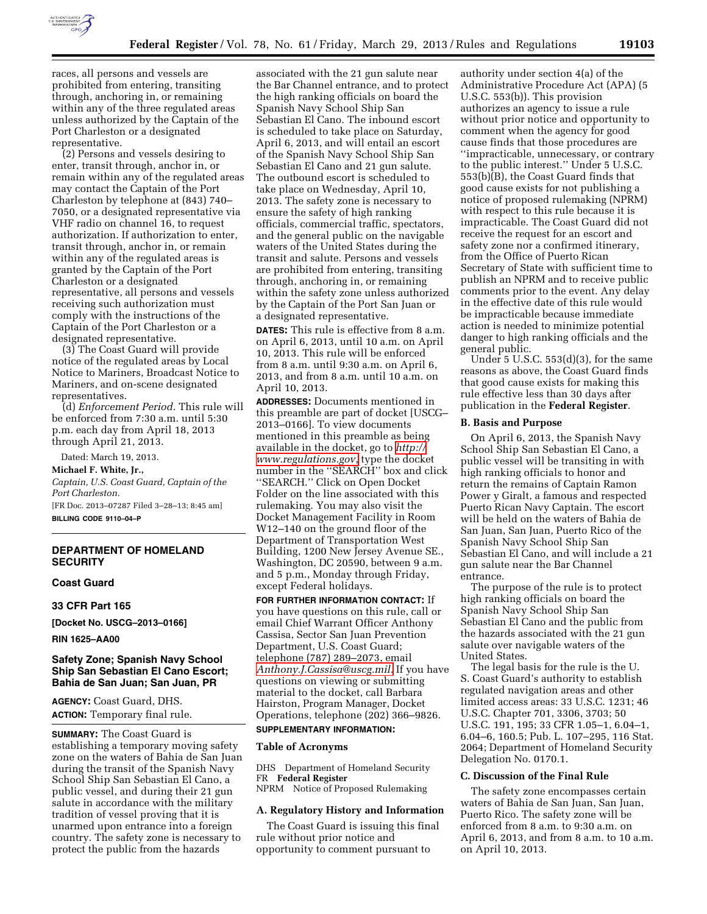

races, all persons and vessels are prohibited from entering, transiting through, anchoring in, or remaining within any of the three regulated areas unless authorized by the Captain of the Port Charleston or a designated representative.

(2) Persons and vessels desiring to enter, transit through, anchor in, or remain within any of the regulated areas may contact the Captain of the Port Charleston by telephone at (843) 740– 7050, or a designated representative via VHF radio on channel 16, to request authorization. If authorization to enter, transit through, anchor in, or remain within any of the regulated areas is granted by the Captain of the Port Charleston or a designated representative, all persons and vessels receiving such authorization must comply with the instructions of the Captain of the Port Charleston or a designated representative.

(3) The Coast Guard will provide notice of the regulated areas by Local Notice to Mariners, Broadcast Notice to Mariners, and on-scene designated representatives.

(d) *Enforcement Period.* This rule will be enforced from 7:30 a.m. until 5:30 p.m. each day from April 18, 2013 through April 21, 2013.

Dated: March 19, 2013.

**Michael F. White, Jr.,** 

*Captain, U.S. Coast Guard, Captain of the Port Charleston.* 

[FR Doc. 2013–07287 Filed 3–28–13; 8:45 am] **BILLING CODE 9110–04–P** 

## **DEPARTMENT OF HOMELAND SECURITY**

## **Coast Guard**

**33 CFR Part 165** 

**[Docket No. USCG–2013–0166]** 

**RIN 1625–AA00** 

### **Safety Zone; Spanish Navy School Ship San Sebastian El Cano Escort; Bahia de San Juan; San Juan, PR**

**AGENCY:** Coast Guard, DHS. **ACTION:** Temporary final rule.

**SUMMARY:** The Coast Guard is establishing a temporary moving safety zone on the waters of Bahia de San Juan during the transit of the Spanish Navy School Ship San Sebastian El Cano, a public vessel, and during their 21 gun salute in accordance with the military tradition of vessel proving that it is unarmed upon entrance into a foreign country. The safety zone is necessary to protect the public from the hazards

associated with the 21 gun salute near the Bar Channel entrance, and to protect the high ranking officials on board the Spanish Navy School Ship San Sebastian El Cano. The inbound escort is scheduled to take place on Saturday, April 6, 2013, and will entail an escort of the Spanish Navy School Ship San Sebastian El Cano and 21 gun salute. The outbound escort is scheduled to take place on Wednesday, April 10, 2013. The safety zone is necessary to ensure the safety of high ranking officials, commercial traffic, spectators, and the general public on the navigable waters of the United States during the transit and salute. Persons and vessels are prohibited from entering, transiting through, anchoring in, or remaining within the safety zone unless authorized by the Captain of the Port San Juan or a designated representative.

**DATES:** This rule is effective from 8 a.m. on April 6, 2013, until 10 a.m. on April 10, 2013. This rule will be enforced from 8 a.m. until 9:30 a.m. on April 6, 2013, and from 8 a.m. until 10 a.m. on April 10, 2013.

**ADDRESSES:** Documents mentioned in this preamble are part of docket [USCG– 2013–0166]. To view documents mentioned in this preamble as being available in the docket, go to *[http://](http://www.regulations.gov) [www.regulations.gov](http://www.regulations.gov)*, type the docket number in the ''SEARCH'' box and click ''SEARCH.'' Click on Open Docket Folder on the line associated with this rulemaking. You may also visit the Docket Management Facility in Room W12–140 on the ground floor of the Department of Transportation West Building, 1200 New Jersey Avenue SE., Washington, DC 20590, between 9 a.m. and 5 p.m., Monday through Friday, except Federal holidays.

**FOR FURTHER INFORMATION CONTACT:** If you have questions on this rule, call or email Chief Warrant Officer Anthony Cassisa, Sector San Juan Prevention Department, U.S. Coast Guard; telephone (787) 289–2073, email *[Anthony.J.Cassisa@uscg.mil.](mailto:Anthony.J.Cassisa@uscg.mil)* If you have questions on viewing or submitting material to the docket, call Barbara Hairston, Program Manager, Docket Operations, telephone (202) 366–9826.

# **SUPPLEMENTARY INFORMATION:**

## **Table of Acronyms**

DHS Department of Homeland Security FR **Federal Register**  NPRM Notice of Proposed Rulemaking

## **A. Regulatory History and Information**

The Coast Guard is issuing this final rule without prior notice and opportunity to comment pursuant to

authority under section 4(a) of the Administrative Procedure Act (APA) (5 U.S.C. 553(b)). This provision authorizes an agency to issue a rule without prior notice and opportunity to comment when the agency for good cause finds that those procedures are ''impracticable, unnecessary, or contrary to the public interest.'' Under 5 U.S.C. 553(b)(B), the Coast Guard finds that good cause exists for not publishing a notice of proposed rulemaking (NPRM) with respect to this rule because it is impracticable. The Coast Guard did not receive the request for an escort and safety zone nor a confirmed itinerary, from the Office of Puerto Rican Secretary of State with sufficient time to publish an NPRM and to receive public comments prior to the event. Any delay in the effective date of this rule would be impracticable because immediate action is needed to minimize potential danger to high ranking officials and the general public.

Under  $5$  U.S.C.  $553(d)(3)$ , for the same reasons as above, the Coast Guard finds that good cause exists for making this rule effective less than 30 days after publication in the **Federal Register**.

#### **B. Basis and Purpose**

On April 6, 2013, the Spanish Navy School Ship San Sebastian El Cano, a public vessel will be transiting in with high ranking officials to honor and return the remains of Captain Ramon Power y Giralt, a famous and respected Puerto Rican Navy Captain. The escort will be held on the waters of Bahia de San Juan, San Juan, Puerto Rico of the Spanish Navy School Ship San Sebastian El Cano, and will include a 21 gun salute near the Bar Channel entrance.

The purpose of the rule is to protect high ranking officials on board the Spanish Navy School Ship San Sebastian El Cano and the public from the hazards associated with the 21 gun salute over navigable waters of the United States.

The legal basis for the rule is the U. S. Coast Guard's authority to establish regulated navigation areas and other limited access areas: 33 U.S.C. 1231; 46 U.S.C. Chapter 701, 3306, 3703; 50 U.S.C. 191, 195; 33 CFR 1.05–1, 6.04–1, 6.04–6, 160.5; Pub. L. 107–295, 116 Stat. 2064; Department of Homeland Security Delegation No. 0170.1.

#### **C. Discussion of the Final Rule**

The safety zone encompasses certain waters of Bahia de San Juan, San Juan, Puerto Rico. The safety zone will be enforced from 8 a.m. to 9:30 a.m. on April 6, 2013, and from 8 a.m. to 10 a.m. on April 10, 2013.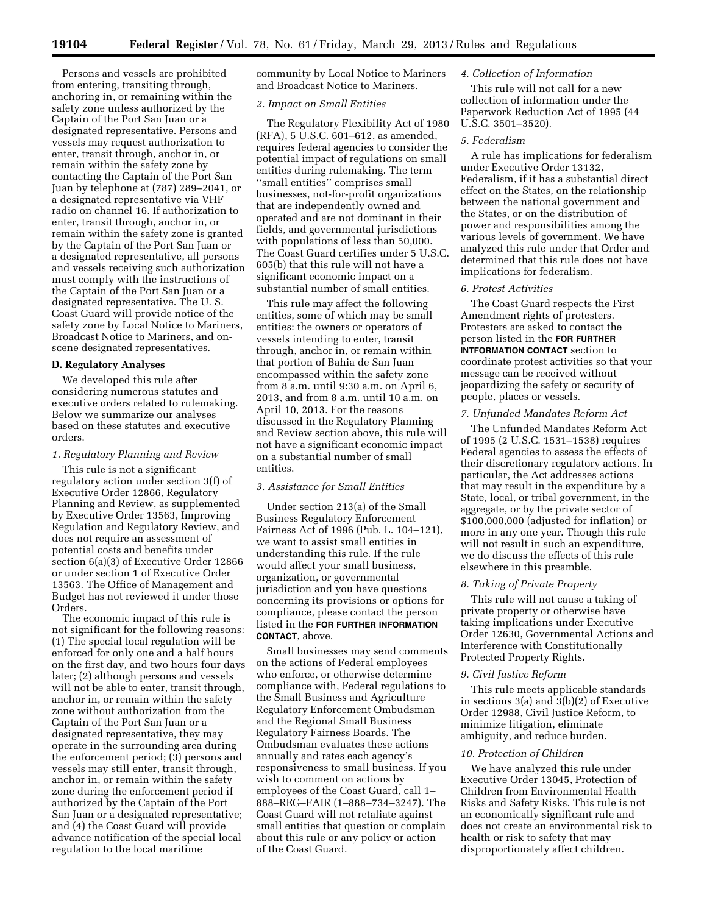Persons and vessels are prohibited from entering, transiting through, anchoring in, or remaining within the safety zone unless authorized by the Captain of the Port San Juan or a designated representative. Persons and vessels may request authorization to enter, transit through, anchor in, or remain within the safety zone by contacting the Captain of the Port San Juan by telephone at (787) 289–2041, or a designated representative via VHF radio on channel 16. If authorization to enter, transit through, anchor in, or remain within the safety zone is granted by the Captain of the Port San Juan or a designated representative, all persons and vessels receiving such authorization must comply with the instructions of the Captain of the Port San Juan or a designated representative. The U. S. Coast Guard will provide notice of the safety zone by Local Notice to Mariners, Broadcast Notice to Mariners, and onscene designated representatives.

#### **D. Regulatory Analyses**

We developed this rule after considering numerous statutes and executive orders related to rulemaking. Below we summarize our analyses based on these statutes and executive orders.

#### *1. Regulatory Planning and Review*

This rule is not a significant regulatory action under section 3(f) of Executive Order 12866, Regulatory Planning and Review, as supplemented by Executive Order 13563, Improving Regulation and Regulatory Review, and does not require an assessment of potential costs and benefits under section 6(a)(3) of Executive Order 12866 or under section 1 of Executive Order 13563. The Office of Management and Budget has not reviewed it under those Orders.

The economic impact of this rule is not significant for the following reasons: (1) The special local regulation will be enforced for only one and a half hours on the first day, and two hours four days later; (2) although persons and vessels will not be able to enter, transit through, anchor in, or remain within the safety zone without authorization from the Captain of the Port San Juan or a designated representative, they may operate in the surrounding area during the enforcement period; (3) persons and vessels may still enter, transit through, anchor in, or remain within the safety zone during the enforcement period if authorized by the Captain of the Port San Juan or a designated representative; and (4) the Coast Guard will provide advance notification of the special local regulation to the local maritime

community by Local Notice to Mariners and Broadcast Notice to Mariners.

#### *2. Impact on Small Entities*

The Regulatory Flexibility Act of 1980 (RFA), 5 U.S.C. 601–612, as amended, requires federal agencies to consider the potential impact of regulations on small entities during rulemaking. The term ''small entities'' comprises small businesses, not-for-profit organizations that are independently owned and operated and are not dominant in their fields, and governmental jurisdictions with populations of less than 50,000. The Coast Guard certifies under 5 U.S.C. 605(b) that this rule will not have a significant economic impact on a substantial number of small entities.

This rule may affect the following entities, some of which may be small entities: the owners or operators of vessels intending to enter, transit through, anchor in, or remain within that portion of Bahia de San Juan encompassed within the safety zone from 8 a.m. until 9:30 a.m. on April 6, 2013, and from 8 a.m. until 10 a.m. on April 10, 2013. For the reasons discussed in the Regulatory Planning and Review section above, this rule will not have a significant economic impact on a substantial number of small entities.

#### *3. Assistance for Small Entities*

Under section 213(a) of the Small Business Regulatory Enforcement Fairness Act of 1996 (Pub. L. 104–121), we want to assist small entities in understanding this rule. If the rule would affect your small business, organization, or governmental jurisdiction and you have questions concerning its provisions or options for compliance, please contact the person listed in the **FOR FURTHER INFORMATION CONTACT**, above.

Small businesses may send comments on the actions of Federal employees who enforce, or otherwise determine compliance with, Federal regulations to the Small Business and Agriculture Regulatory Enforcement Ombudsman and the Regional Small Business Regulatory Fairness Boards. The Ombudsman evaluates these actions annually and rates each agency's responsiveness to small business. If you wish to comment on actions by employees of the Coast Guard, call 1– 888–REG–FAIR (1–888–734–3247). The Coast Guard will not retaliate against small entities that question or complain about this rule or any policy or action of the Coast Guard.

## *4. Collection of Information*

This rule will not call for a new collection of information under the Paperwork Reduction Act of 1995 (44 U.S.C. 3501–3520).

## *5. Federalism*

A rule has implications for federalism under Executive Order 13132, Federalism, if it has a substantial direct effect on the States, on the relationship between the national government and the States, or on the distribution of power and responsibilities among the various levels of government. We have analyzed this rule under that Order and determined that this rule does not have implications for federalism.

#### *6. Protest Activities*

The Coast Guard respects the First Amendment rights of protesters. Protesters are asked to contact the person listed in the **FOR FURTHER INTFORMATION CONTACT** section to coordinate protest activities so that your message can be received without jeopardizing the safety or security of people, places or vessels.

#### *7. Unfunded Mandates Reform Act*

The Unfunded Mandates Reform Act of 1995 (2 U.S.C. 1531–1538) requires Federal agencies to assess the effects of their discretionary regulatory actions. In particular, the Act addresses actions that may result in the expenditure by a State, local, or tribal government, in the aggregate, or by the private sector of \$100,000,000 (adjusted for inflation) or more in any one year. Though this rule will not result in such an expenditure, we do discuss the effects of this rule elsewhere in this preamble.

#### *8. Taking of Private Property*

This rule will not cause a taking of private property or otherwise have taking implications under Executive Order 12630, Governmental Actions and Interference with Constitutionally Protected Property Rights.

#### *9. Civil Justice Reform*

This rule meets applicable standards in sections 3(a) and 3(b)(2) of Executive Order 12988, Civil Justice Reform, to minimize litigation, eliminate ambiguity, and reduce burden.

#### *10. Protection of Children*

We have analyzed this rule under Executive Order 13045, Protection of Children from Environmental Health Risks and Safety Risks. This rule is not an economically significant rule and does not create an environmental risk to health or risk to safety that may disproportionately affect children.